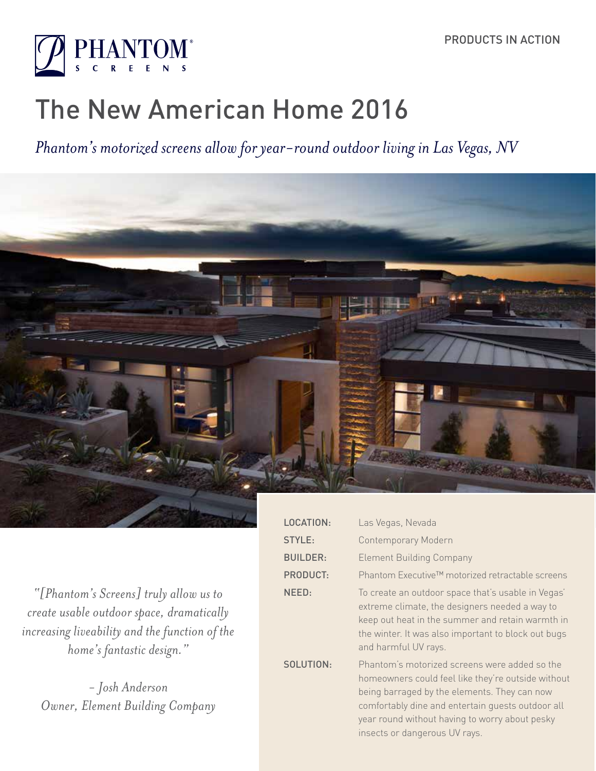

# The New American Home 2016

*Phantom's motorized screens allow for year-round outdoor living in Las Vegas, NV*



*"[Phantom's Screens] truly allow us to create usable outdoor space, dramatically increasing liveability and the function of the home's fantastic design."*

*- Josh Anderson Owner, Element Building Company*

| LOCATION:       | Las Vegas, Nevada                                                                                                                                                                                                                                                                           |
|-----------------|---------------------------------------------------------------------------------------------------------------------------------------------------------------------------------------------------------------------------------------------------------------------------------------------|
| <b>STYLE:</b>   | <b>Contemporary Modern</b>                                                                                                                                                                                                                                                                  |
| <b>BUILDER:</b> | <b>Element Building Company</b>                                                                                                                                                                                                                                                             |
| <b>PRODUCT:</b> | Phantom Executive™ motorized retractable screens                                                                                                                                                                                                                                            |
| NEED:           | To create an outdoor space that's usable in Vegas'<br>extreme climate, the designers needed a way to<br>keep out heat in the summer and retain warmth in<br>the winter. It was also important to block out bugs<br>and harmful UV rays.                                                     |
| SOLUTION:       | Phantom's motorized screens were added so the<br>homeowners could feel like they're outside without<br>being barraged by the elements. They can now<br>comfortably dine and entertain quests outdoor all<br>year round without having to worry about pesky<br>insects or dangerous UV rays. |